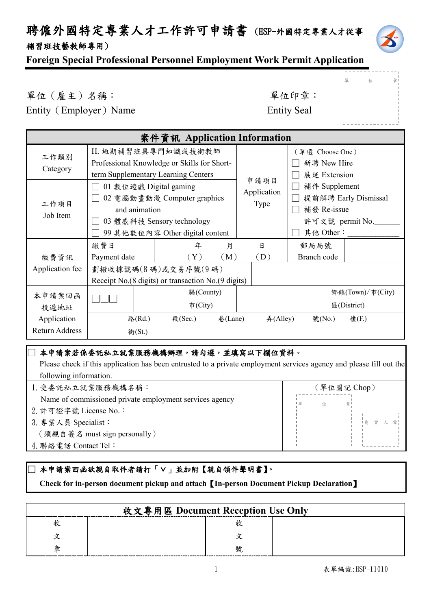### 聘僱外國特定專業人才工作許可申請書 (HSP-外國特定專業人才從事 補習班技藝教師專用)



單 位 章

### **Foreign Special Professional Personnel Employment Work Permit Application**

單位(雇主)名稱: 第六章: 李位印章: 第一 Entity (Employer) Name

| <b>Entity Seal</b> |  |
|--------------------|--|
|--------------------|--|

|                 |                        | 案件資訊 Application Information                         |             |                  |                      |
|-----------------|------------------------|------------------------------------------------------|-------------|------------------|----------------------|
| 工作類別            |                        | H. 短期補習班具專門知識或技術教師                                   |             | (單選 Choose One ) |                      |
|                 |                        | Professional Knowledge or Skills for Short-          |             | 新聘 New Hire      |                      |
| Category        |                        | term Supplementary Learning Centers                  |             | 展延 Extension     |                      |
|                 | 01 數位遊戲 Digital gaming |                                                      | 申請項目        | 補件 Supplement    |                      |
|                 |                        | 02 電腦動畫動漫 Computer graphics                          | Application |                  | 提前解聘 Early Dismissal |
| 工作項目            | and animation          |                                                      | Type        | 補發 Re-issue      |                      |
| Job Item        |                        | 03 體感科技 Sensory technology                           |             | 許可文號 permit No.  |                      |
|                 |                        | 99 其他數位內容 Other digital content                      |             | 其他 Other:        |                      |
|                 | 繳費日                    | 月<br>年                                               | 日           | 郵局局號             |                      |
| 繳費資訊            | Payment date           | (Y)<br>(M)                                           | (D)         | Branch code      |                      |
| Application fee |                        | 劃撥收據號碼(8碼)或交易序號(9碼)                                  |             |                  |                      |
|                 |                        | Receipt No. (8 digits) or transaction No. (9 digits) |             |                  |                      |
| 本申請案回函          | 縣(County)              |                                                      |             |                  | 鄉鎮(Town)/市(City)     |
| 投遞地址            |                        | $\bar{\pi}$ (City)                                   |             |                  | E(District)          |
| Application     | 路(Rd.)                 | 段(Sec.)<br>巷(Lane)                                   | #(Alley)    | 號(No.)           | 樓(F.)                |
| Return Address  | 街(St.)                 |                                                      |             |                  |                      |

### |本申請案若係委託私立就業服務機構辦理,請勾選,並填寫以下欄位資料。

| Please check if this application has been entrusted to a private employment services agency and please fill out the |
|---------------------------------------------------------------------------------------------------------------------|
| following information.                                                                                              |

| 1. 受委託私立就業服務機構名稱:                                       | 〔單位圖記 Chop) |  |  |
|---------------------------------------------------------|-------------|--|--|
| Name of commissioned private employment services agency | 位           |  |  |
| 2. 許可證字號 License No.:                                   |             |  |  |
| 3. 專業人員 Specialist:                                     | 負責人章        |  |  |
| (須親自簽名 must sign personally)                            |             |  |  |
| 4. 聯絡電話 Contact Tel:                                    |             |  |  |
|                                                         |             |  |  |

### 本申請案回函欲親自取件者請打「∨」並加附【親自領件聲明書】。

 **Check for in-person document pickup and attach**【**In-person Document Pickup Declaration**】

|   | 收文專用區 Document Reception Use Only |  |
|---|-----------------------------------|--|
|   |                                   |  |
|   |                                   |  |
| 峕 |                                   |  |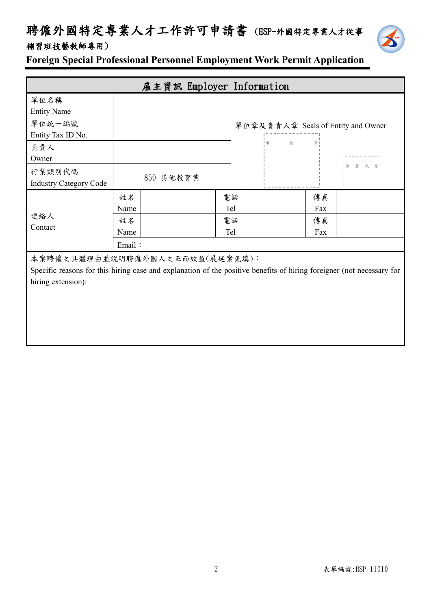## 聘僱外國特定專業人才工作許可申請書 (HSP-外國特定專業人才從事 補習班技藝教師專用)



**Foreign Special Professional Personnel Employment Work Permit Application**

|                                |        | 雇主資訊 Employer Information |     |                                    |
|--------------------------------|--------|---------------------------|-----|------------------------------------|
| 單位名稱                           |        |                           |     |                                    |
| <b>Entity Name</b>             |        |                           |     |                                    |
| 單位統一編號                         |        |                           |     | 單位章及負責人章 Seals of Entity and Owner |
| Entity Tax ID No.              |        |                           |     |                                    |
| 負責人                            |        |                           |     | 1 單<br>位<br>童                      |
| Owner                          |        |                           |     |                                    |
| 行業類別代碼                         |        |                           |     | 負責人<br>章                           |
| <b>Industry Category Code</b>  |        | 859 其他教育業                 |     |                                    |
|                                | 姓名     |                           | 電話  | 傳真                                 |
|                                | Name   |                           | Tel | Fax                                |
| 連絡人                            | 姓名     |                           | 電話  | 傳真                                 |
| Contact                        | Name   |                           | Tel | Fax                                |
|                                | Email: |                           |     |                                    |
| 本案聘僱之具體理由並說明聘僱外國人之正面效益(展延案免填): |        |                           |     |                                    |

Specific reasons for this hiring case and explanation of the positive benefits of hiring foreigner (not necessary for hiring extension):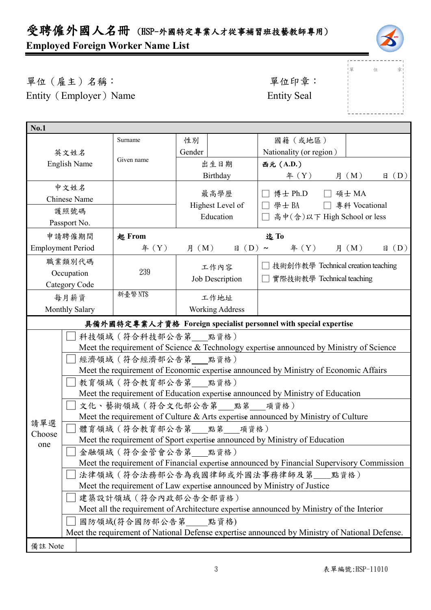## 受聘僱外國人名冊 (HSP-外國特定專業人才從事補習班技藝教師專用) **Employed Foreign Worker Name List**



」<br>!單 位 章

 $1 - 1 - 1$ 

單位(雇主)名稱: 第四章: 李位印章: 第一 Entity (Employer) Name Entity Seal

| <b>No.1</b>         |                                                                                                             |                           |           |                        |                                                                                          |  |
|---------------------|-------------------------------------------------------------------------------------------------------------|---------------------------|-----------|------------------------|------------------------------------------------------------------------------------------|--|
|                     |                                                                                                             | Surname                   | 性別        |                        | 國籍(或地區)                                                                                  |  |
|                     | 英文姓名                                                                                                        |                           | Gender    |                        | Nationality (or region)                                                                  |  |
| <b>English Name</b> |                                                                                                             | Given name                |           | 出生日期                   | 西元 (A.D.)                                                                                |  |
|                     |                                                                                                             |                           |           | Birthday               | $\boxplus$ (D)<br>f(X)<br>月 (M)                                                          |  |
|                     | 中文姓名                                                                                                        |                           |           | 最高學歷                   | □ 博士 Ph.D<br>□ 碩士 MA                                                                     |  |
|                     | <b>Chinese Name</b>                                                                                         |                           |           | Highest Level of       | □ 學士 BA □ 專科 Vocational                                                                  |  |
|                     | 護照號碼                                                                                                        |                           | Education |                        | □ 高中(含)以下 High School or less                                                            |  |
|                     | Passport No.                                                                                                |                           |           |                        |                                                                                          |  |
|                     | 申請聘僱期間                                                                                                      | 起 From                    |           |                        | 迄To                                                                                      |  |
|                     | <b>Employment Period</b>                                                                                    | $\text{4}(Y)$             | 月 (M)     | $\boxminus$ (D) ~      | $\text{4}$ $(Y)$<br>月 (M)<br>(D)<br>日                                                    |  |
|                     | 職業類別代碼                                                                                                      |                           |           | 工作內容                   | 技術創作教學 Technical creation teaching                                                       |  |
|                     | Occupation                                                                                                  | 239                       |           | Job Description        | 實際技術教學 Technical teaching<br>$\perp$                                                     |  |
|                     | Category Code                                                                                               |                           |           |                        |                                                                                          |  |
|                     | 每月薪資                                                                                                        | 新臺幣 NT\$                  |           | 工作地址                   |                                                                                          |  |
|                     | Monthly Salary                                                                                              |                           |           | <b>Working Address</b> |                                                                                          |  |
|                     |                                                                                                             |                           |           |                        | 具備外國特定專業人才資格 Foreign specialist personnel with special expertise                         |  |
|                     |                                                                                                             | 科技領域 (符合科技部公告第 __ 點資格)    |           |                        |                                                                                          |  |
|                     |                                                                                                             |                           |           |                        | Meet the requirement of Science & Technology expertise announced by Ministry of Science  |  |
|                     |                                                                                                             | 經濟領域 (符合經濟部公告第 點資格)       |           |                        |                                                                                          |  |
|                     |                                                                                                             |                           |           |                        | Meet the requirement of Economic expertise announced by Ministry of Economic Affairs     |  |
|                     |                                                                                                             | 教育領域 (符合教育部公告第 點資格)       |           |                        |                                                                                          |  |
|                     |                                                                                                             |                           |           |                        | Meet the requirement of Education expertise announced by Ministry of Education           |  |
|                     |                                                                                                             | 文化、藝術領域 (符合文化部公告第 點第 項資格) |           |                        |                                                                                          |  |
| 請單選                 | Meet the requirement of Culture & Arts expertise announced by Ministry of Culture<br>體育領域 (符合教育部公告第 點第 項資格) |                           |           |                        |                                                                                          |  |
| Choose              |                                                                                                             |                           |           |                        |                                                                                          |  |
| one                 | Meet the requirement of Sport expertise announced by Ministry of Education<br>金融領域 (符合金管會公告第___點資格)         |                           |           |                        |                                                                                          |  |
|                     | Meet the requirement of Financial expertise announced by Financial Supervisory Commission                   |                           |           |                        |                                                                                          |  |
|                     | 法律領域(符合法務部公告為我國律師或外國法事務律師及第__點資格)                                                                           |                           |           |                        |                                                                                          |  |
|                     |                                                                                                             |                           |           |                        | Meet the requirement of Law expertise announced by Ministry of Justice                   |  |
|                     |                                                                                                             | 建築設計領域 (符合內政部公告全部資格)      |           |                        |                                                                                          |  |
|                     |                                                                                                             |                           |           |                        | Meet all the requirement of Architecture expertise announced by Ministry of the Interior |  |
|                     |                                                                                                             | 國防領域(符合國防部公告第 點資格)        |           |                        |                                                                                          |  |
|                     | Meet the requirement of National Defense expertise announced by Ministry of National Defense.               |                           |           |                        |                                                                                          |  |
| 備註 Note             |                                                                                                             |                           |           |                        |                                                                                          |  |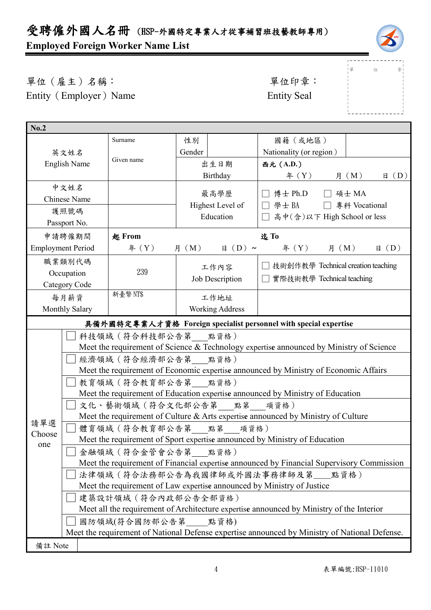## 受聘僱外國人名冊 (HSP-外國特定專業人才從事補習班技藝教師專用) **Employed Foreign Worker Name List**



」<br>!單 位 章

 $1 - 1 - 1$ 

單位(雇主)名稱: 第四章: 李位印章: 第一 Entity (Employer) Name Entity Seal

| No.2                                                                                                                           |                                                                                               |                                                                        |                               |                        |                                                                  |                           |  |  |
|--------------------------------------------------------------------------------------------------------------------------------|-----------------------------------------------------------------------------------------------|------------------------------------------------------------------------|-------------------------------|------------------------|------------------------------------------------------------------|---------------------------|--|--|
|                                                                                                                                |                                                                                               | Surname                                                                | 性別                            |                        | 國籍(或地區)                                                          |                           |  |  |
|                                                                                                                                | 英文姓名                                                                                          |                                                                        | Gender                        |                        | Nationality (or region)                                          |                           |  |  |
|                                                                                                                                | <b>English Name</b>                                                                           | Given name                                                             |                               | 出生日期                   | 西元 (A.D.)                                                        |                           |  |  |
|                                                                                                                                |                                                                                               |                                                                        |                               | Birthday               | $\text{4}(Y)$                                                    | 月 $(M)$<br>$\boxplus$ (D) |  |  |
|                                                                                                                                | 中文姓名                                                                                          |                                                                        |                               |                        |                                                                  |                           |  |  |
|                                                                                                                                | <b>Chinese Name</b>                                                                           |                                                                        |                               | 最高學歷                   | □ 博士 Ph.D □ 碩士 MA                                                |                           |  |  |
|                                                                                                                                | 護照號碼                                                                                          |                                                                        | Highest Level of<br>Education |                        | □ 學士 BA □ 專科 Vocational                                          |                           |  |  |
|                                                                                                                                | Passport No.                                                                                  |                                                                        |                               |                        | □ 高中(含)以下 High School or less                                    |                           |  |  |
|                                                                                                                                | 申請聘僱期間                                                                                        | <b>起 From</b>                                                          |                               |                        | 迄To                                                              |                           |  |  |
|                                                                                                                                | <b>Employment Period</b>                                                                      | $\text{4}(Y)$                                                          | 月 (M)                         | $\boxplus$ (D) ~       | $\text{4}(Y)$ 月 (M)                                              | $\boxplus$ (D)            |  |  |
|                                                                                                                                | 職業類別代碼                                                                                        |                                                                        |                               | 工作內容                   | 技術創作教學 Technical creation teaching                               |                           |  |  |
|                                                                                                                                | Occupation                                                                                    | 239                                                                    |                               | Job Description        | 實際技術教學 Technical teaching                                        |                           |  |  |
|                                                                                                                                | Category Code                                                                                 |                                                                        |                               |                        |                                                                  |                           |  |  |
|                                                                                                                                | 每月薪資                                                                                          | 新臺幣NT\$                                                                |                               | 工作地址                   |                                                                  |                           |  |  |
|                                                                                                                                | Monthly Salary                                                                                |                                                                        |                               | <b>Working Address</b> |                                                                  |                           |  |  |
|                                                                                                                                |                                                                                               |                                                                        |                               |                        | 具備外國特定專業人才資格 Foreign specialist personnel with special expertise |                           |  |  |
|                                                                                                                                | 科技領域 (符合科技部公告第 點資格)                                                                           |                                                                        |                               |                        |                                                                  |                           |  |  |
|                                                                                                                                | Meet the requirement of Science & Technology expertise announced by Ministry of Science       |                                                                        |                               |                        |                                                                  |                           |  |  |
|                                                                                                                                | 經濟領域 (符合經濟部公告第 點資格)                                                                           |                                                                        |                               |                        |                                                                  |                           |  |  |
|                                                                                                                                | Meet the requirement of Economic expertise announced by Ministry of Economic Affairs          |                                                                        |                               |                        |                                                                  |                           |  |  |
|                                                                                                                                | 教育領域 ( 符合教育部公告第 點資格 )                                                                         |                                                                        |                               |                        |                                                                  |                           |  |  |
|                                                                                                                                | Meet the requirement of Education expertise announced by Ministry of Education                |                                                                        |                               |                        |                                                                  |                           |  |  |
|                                                                                                                                |                                                                                               | 文化、藝術領域(符合文化部公告第___點第___項資格)                                           |                               |                        |                                                                  |                           |  |  |
| 請單選                                                                                                                            | Meet the requirement of Culture $&Arts$ expertise announced by Ministry of Culture            |                                                                        |                               |                        |                                                                  |                           |  |  |
| Choose                                                                                                                         |                                                                                               | 體育領域(符合教育部公告第 點第 項資格)                                                  |                               |                        |                                                                  |                           |  |  |
| one                                                                                                                            | Meet the requirement of Sport expertise announced by Ministry of Education                    |                                                                        |                               |                        |                                                                  |                           |  |  |
|                                                                                                                                | 金融領域 (符合金管會公告第 __ 點資格)                                                                        |                                                                        |                               |                        |                                                                  |                           |  |  |
| Meet the requirement of Financial expertise announced by Financial Supervisory Commission<br>法律領域(符合法務部公告為我國律師或外國法事務律師及第__點資格) |                                                                                               |                                                                        |                               |                        |                                                                  |                           |  |  |
|                                                                                                                                |                                                                                               |                                                                        |                               |                        |                                                                  |                           |  |  |
|                                                                                                                                |                                                                                               | Meet the requirement of Law expertise announced by Ministry of Justice |                               |                        |                                                                  |                           |  |  |
| 建築設計領域 (符合內政部公告全部資格)<br>Meet all the requirement of Architecture expertise announced by Ministry of the Interior               |                                                                                               |                                                                        |                               |                        |                                                                  |                           |  |  |
|                                                                                                                                |                                                                                               | 國防領域(符合國防部公告第 點資格)                                                     |                               |                        |                                                                  |                           |  |  |
|                                                                                                                                | Meet the requirement of National Defense expertise announced by Ministry of National Defense. |                                                                        |                               |                        |                                                                  |                           |  |  |
| 備註 Note                                                                                                                        |                                                                                               |                                                                        |                               |                        |                                                                  |                           |  |  |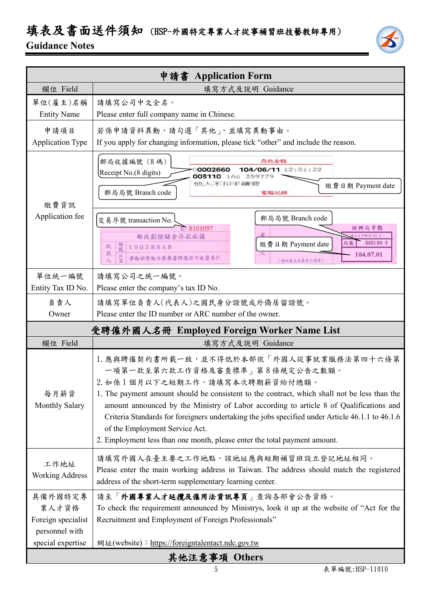# 填表及書面送件須知 (HSP-外國特定專業人才從事補習班技藝教師專用)

### **Guidance Notes**



|                                                          | 申請書 Application Form                                                                                                                                                                                                                                                                                                                                                                                                                                                                                                     |  |  |  |
|----------------------------------------------------------|--------------------------------------------------------------------------------------------------------------------------------------------------------------------------------------------------------------------------------------------------------------------------------------------------------------------------------------------------------------------------------------------------------------------------------------------------------------------------------------------------------------------------|--|--|--|
| 欄位 Field                                                 | 填寫方式及說明 Guidance                                                                                                                                                                                                                                                                                                                                                                                                                                                                                                         |  |  |  |
| 單位(雇主)名稱                                                 | 請填寫公司中文全名。                                                                                                                                                                                                                                                                                                                                                                                                                                                                                                               |  |  |  |
| <b>Entity Name</b>                                       | Please enter full company name in Chinese.                                                                                                                                                                                                                                                                                                                                                                                                                                                                               |  |  |  |
| 申請項目<br><b>Application Type</b>                          | 若係申請資料異動,請勾選「其他」,並填寫異動事由。<br>If you apply for changing information, please tick "other" and include the reason.                                                                                                                                                                                                                                                                                                                                                                                                          |  |  |  |
| 繳費資訊                                                     | 郵局收據編號 (8碼)<br>存款金額<br>104/06/11 12:01:22<br>0002660<br>Receipt No.(8 digits)<br>003110 1A6 359779<br>他人不扣手續變<br>繳費日期 Payment date<br>郵局局號 Branch code<br>電腦記錄                                                                                                                                                                                                                                                                                                                                                           |  |  |  |
| Application fee                                          | 郵局局號 Branch code<br>交易序號 transaction No.<br>E-8103097<br>經辦局章戳<br>北北門郵局(901支)<br>郵政劃撥儲金存款收據<br>$000100 - 6$<br>局號<br>繳費日期 Payment date<br>帳號<br>收<br>19058848<br>款<br>104.07.01<br>⋏<br>戶名<br>勞動部勞動力發展署聘僱許可收費專戶<br>(請以雇主名義自行填寫)                                                                                                                                                                                                                                                                                          |  |  |  |
| 單位統一編號                                                   | 請填寫公司之統一編號。                                                                                                                                                                                                                                                                                                                                                                                                                                                                                                              |  |  |  |
| Entity Tax ID No.                                        | Please enter the company's tax ID No.                                                                                                                                                                                                                                                                                                                                                                                                                                                                                    |  |  |  |
| 負責人                                                      | 請填寫單位負責人(代表人)之國民身分證號或外僑居留證號。                                                                                                                                                                                                                                                                                                                                                                                                                                                                                             |  |  |  |
| Owner                                                    | Please enter the ID number or ARC number of the owner.                                                                                                                                                                                                                                                                                                                                                                                                                                                                   |  |  |  |
| 受聘僱外國人名冊 Employed Foreign Worker Name List               |                                                                                                                                                                                                                                                                                                                                                                                                                                                                                                                          |  |  |  |
| 欄位 Field                                                 | 填寫方式及說明 Guidance                                                                                                                                                                                                                                                                                                                                                                                                                                                                                                         |  |  |  |
| 每月薪資<br><b>Monthly Salary</b>                            | 1. 應與聘僱契約書所載一致,並不得低於本部依「外國人從事就業服務法第四十六條第<br>一項第一款至第六款工作資格及審查標準」第8條規定公告之數額。<br>2. 如係1個月以下之短期工作,請填寫本次聘期薪資給付總額。<br>1. The payment amount should be consistent to the contract, which shall not be less than the<br>amount announced by the Ministry of Labor according to article 8 of Qualifications and<br>Criteria Standards for foreigners undertaking the jobs specified under Article 46.1.1 to 46.1.6<br>of the Employment Service Act.<br>2. Employment less than one month, please enter the total payment amount. |  |  |  |
| 工作地址<br><b>Working Address</b>                           | 請填寫外國人在臺主要之工作地點,該地址應與短期補習班設立登記地址相同。<br>Please enter the main working address in Taiwan. The address should match the registered<br>address of the short-term supplementary learning center.                                                                                                                                                                                                                                                                                                                              |  |  |  |
| 具備外國特定專<br>業人才資格<br>Foreign specialist<br>personnel with | 請至「外國專業人才延攬及僱用法資訊專頁」查詢各部會公告資格。<br>To check the requirement announced by Ministrys, look it up at the website of "Act for the<br>Recruitment and Employment of Foreign Professionals"                                                                                                                                                                                                                                                                                                                                     |  |  |  |
| special expertise                                        | 網址(website): https://foreigntalentact.ndc.gov.tw                                                                                                                                                                                                                                                                                                                                                                                                                                                                         |  |  |  |
|                                                          | 其他注意事項 Others                                                                                                                                                                                                                                                                                                                                                                                                                                                                                                            |  |  |  |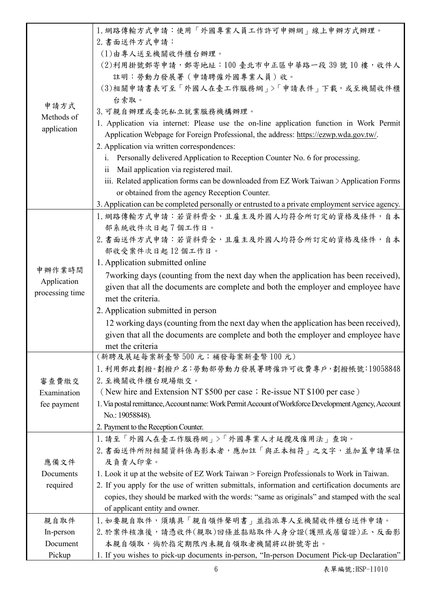|                 | 1. 網路傳輸方式申請:使用「外國專業人員工作許可申辦網」線上申辦方式辦理。                                                               |
|-----------------|------------------------------------------------------------------------------------------------------|
|                 | 2. 書面送件方式申請:                                                                                         |
|                 | (1)由專人送至機關收件櫃台辦理。                                                                                    |
|                 | (2)利用掛號郵寄申請,郵寄地址:100 臺北市中正區中華路一段39號10樓,收件人                                                           |
|                 | 註明:勞動力發展署 (申請聘僱外國專業人員)收。                                                                             |
|                 | (3)相關申請書表可至「外國人在臺工作服務網」>「申請表件」下載,或至機關收件櫃                                                             |
| 申請方式            | 台索取。                                                                                                 |
| Methods of      | 3. 可親自辦理或委託私立就業服務機構辦理。                                                                               |
| application     | 1. Application via internet: Please use the on-line application function in Work Permit              |
|                 | Application Webpage for Foreign Professional, the address: https://ezwp.wda.gov.tw/.                 |
|                 | 2. Application via written correspondences:                                                          |
|                 | i. Personally delivered Application to Reception Counter No. 6 for processing.                       |
|                 | Mail application via registered mail.<br>$\overline{\mathbf{1}}$                                     |
|                 | iii. Related application forms can be downloaded from EZ Work Taiwan $\geq$ Application Forms        |
|                 | or obtained from the agency Reception Counter.                                                       |
|                 | 3. Application can be completed personally or entrusted to a private employment service agency.      |
|                 | 1. 網路傳輸方式申請:若資料齊全,且雇主及外國人均符合所訂定的資格及條件,自本                                                             |
|                 | 部系統收件次日起7個工作日。                                                                                       |
|                 | 2. 書面送件方式申請:若資料齊全,且雇主及外國人均符合所訂定的資格及條件,自本                                                             |
|                 | 部收受案件次日起12個工作日。<br>1. Application submitted online                                                   |
| 申辦作業時間          |                                                                                                      |
| Application     | 7 working days (counting from the next day when the application has been received),                  |
| processing time | given that all the documents are complete and both the employer and employee have                    |
|                 | met the criteria.                                                                                    |
|                 | 2. Application submitted in person                                                                   |
|                 | 12 working days (counting from the next day when the application has been received),                 |
|                 | given that all the documents are complete and both the employer and employee have                    |
|                 | met the criteria<br>(新聘及展延每案新臺幣500元;補發每案新臺幣100元)                                                     |
|                 | 1. 利用郵政劃撥。劃撥戶名:勞動部勞動力發展署聘僱許可收費專戶,劃撥帳號:19058848                                                       |
| 審查費繳交           | 2. 至機關收件櫃台現場繳交。                                                                                      |
| Examination     | (New hire and Extension NT \$500 per case; Re-issue NT \$100 per case)                               |
| fee payment     | 1. Via postal remittance, Account name: Work Permit Account of Workforce Development Agency, Account |
|                 | No.: 19058848).                                                                                      |
|                 | 2. Payment to the Reception Counter.                                                                 |
|                 | 1. 請至「外國人在臺工作服務網」>「外國專業人才延攬及僱用法」查詢。                                                                  |
|                 | 2. 書面送件所附相關資料係為影本者,應加註「與正本相符」之文字,並加蓋申請單位                                                             |
| 應備文件            | 及負責人印章。                                                                                              |
| Documents       | 1. Look it up at the website of EZ Work Taiwan > Foreign Professionals to Work in Taiwan.            |
| required        | 2. If you apply for the use of written submittals, information and certification documents are       |
|                 | copies, they should be marked with the words: "same as originals" and stamped with the seal          |
|                 | of applicant entity and owner.                                                                       |
| 親自取件            | 1. 如要親自取件,須填具「親自領件聲明書」並指派專人至機關收件櫃台送件申請。                                                              |
| In-person       | 2. 於案件核准後,請憑收件(親取)回條並黏貼取件人身分證(護照或居留證)正、反面影                                                           |
| Document        | 本親自領取,倘於指定期限內未親自領取者機關將以掛號寄出。                                                                         |
| Pickup          | 1. If you wishes to pick-up documents in-person, "In-person Document Pick-up Declaration"            |